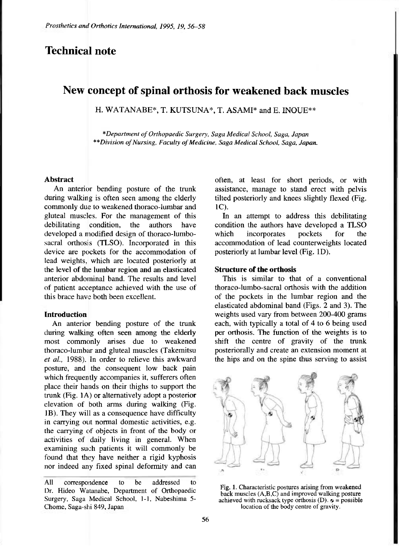# **Technical note**

# **New concept of spinal orthosis for weakened back muscles**

H. WATANABE\*, T. KUTSUNA\*, T. ASAMI\* and E. INOUE\*\*

*\* Department of Orthopaedic Surgery, Saga Medical School, Saga, Japan \*\*Division of Nursing, Faculty of Medicine, Saga Medical School, Saga, Japan.* 

#### **Abstract**

An anterior bending posture of the trunk during walking is often seen among the elderly commonly due to weakened thoraco-lumbar and gluteal muscles. For the management of this debilitating condition, the authors have developed a modified design of fhoraco-lumbosacral orthosis (TLSO). Incorporated in this device are pockets for the accommodation of lead weights, which are located posteriorly at the level of the lumbar region and an elasticated anterior abdominal band. The results and level of patient acceptance achieved with the use of this brace have both been excellent.

### **Introduction**

An anterior bending posture of the trunk during walking often seen among the elderly most commonly arises due to weakened fhoraco-lumbar and gluteal muscles (Takemitsu *et al.,* 1988). In order to relieve this awkward posture, and the consequent low back pain which frequently accompanies it, sufferers often place their hands on their thighs to support the trunk (Fig. 1A) or alternatively adopt a posterior elevation of both arms during walking (Fig. 1B). They will as a consequence have difficulty in carrying out normal domestic activities, e.g. the carrying of objects in front of the body or activities of daily living in general. When examining such patients it will commonly be found that they have neither a rigid kyphosis nor indeed any fixed spinal deformity and can

often, at least for short periods, or with assistance, manage to stand erect with pelvis tilted posteriorly and knees slightly flexed (Fig. 1C).

In an attempt to address this debilitating condition the authors have developed a TLSO which incorporates pockets for the accommodation of lead counterweights located posteriorly at lumbar level (Fig. ID).

### **Structure of the orthosis**

This is similar to that of a conventional thoraco-lumbo-sacral orthosis with the addition of the pockets in the lumbar region and the elasticated abdominal band (Figs. 2 and 3). The weights used vary from between 200-400 grams each, with typically a total of 4 to 6 being used per orthosis. The function of the weights is to shift the centre of gravity of the trunk posteriorally and create an extension moment at the hips and on the spine thus serving to assist



Fig. 1. Characteristic postures arising from weakened back muscles (A,B,C) and improved walking posture achieved with rucksack type orthosis (D).  $\phi$  = possible location of the body centre of gravity.

All correspondence to be addressed to Dr. Hideo Watanabe, Department of Orthopaedic Surgery, Saga Medical School, 1-1, Nabeshima 5- Chome, Saga-shi 849, Japan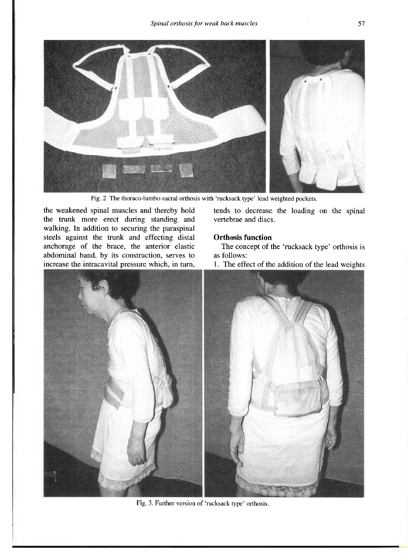

Fig. 2. The thoraco-lumbo-sacral orthosis with 'rucksack type' lead weighted pockets.

the weakened spinal muscles and thereby hold the trunk more erect during standing and walking. In addition to securing the paraspinal steels against the trunk and effecting distal anchorage of the brace, the anterior elastic abdominal band, by its construction, serves to increase the intracavital pressure which, in turn, tends to decrease the loading on the spinal vertebrae and discs.

#### **Orthosis function**

The concept of the 'rucksack type' orthosis is as follows:

1. The effect of the addition of the lead weights



Fig. 3. Further version of 'rucksack type' orthosis.